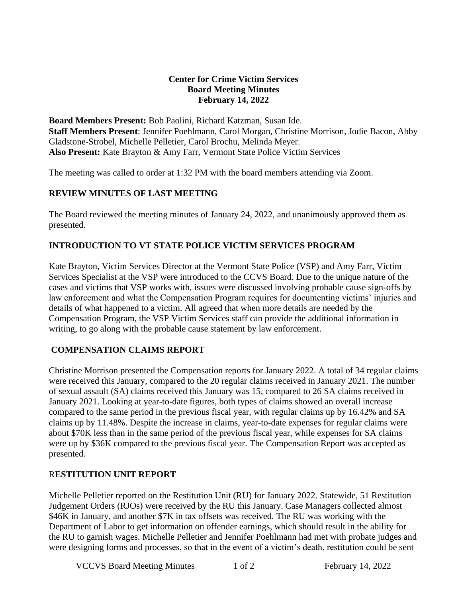### **Center for Crime Victim Services Board Meeting Minutes February 14, 2022**

**Board Members Present:** Bob Paolini, Richard Katzman, Susan Ide. **Staff Members Present**: Jennifer Poehlmann, Carol Morgan, Christine Morrison, Jodie Bacon, Abby Gladstone-Strobel, Michelle Pelletier, Carol Brochu, Melinda Meyer. **Also Present:** Kate Brayton & Amy Farr, Vermont State Police Victim Services

The meeting was called to order at 1:32 PM with the board members attending via Zoom.

## **REVIEW MINUTES OF LAST MEETING**

The Board reviewed the meeting minutes of January 24, 2022, and unanimously approved them as presented.

## **INTRODUCTION TO VT STATE POLICE VICTIM SERVICES PROGRAM**

Kate Brayton, Victim Services Director at the Vermont State Police (VSP) and Amy Farr, Victim Services Specialist at the VSP were introduced to the CCVS Board. Due to the unique nature of the cases and victims that VSP works with, issues were discussed involving probable cause sign-offs by law enforcement and what the Compensation Program requires for documenting victims' injuries and details of what happened to a victim. All agreed that when more details are needed by the Compensation Program, the VSP Victim Services staff can provide the additional information in writing, to go along with the probable cause statement by law enforcement.

## **COMPENSATION CLAIMS REPORT**

Christine Morrison presented the Compensation reports for January 2022. A total of 34 regular claims were received this January, compared to the 20 regular claims received in January 2021. The number of sexual assault (SA) claims received this January was 15, compared to 26 SA claims received in January 2021. Looking at year-to-date figures, both types of claims showed an overall increase compared to the same period in the previous fiscal year, with regular claims up by 16.42% and SA claims up by 11.48%. Despite the increase in claims, year-to-date expenses for regular claims were about \$70K less than in the same period of the previous fiscal year, while expenses for SA claims were up by \$36K compared to the previous fiscal year. The Compensation Report was accepted as presented.

#### R**ESTITUTION UNIT REPORT**

Michelle Pelletier reported on the Restitution Unit (RU) for January 2022. Statewide, 51 Restitution Judgement Orders (RJOs) were received by the RU this January. Case Managers collected almost \$46K in January, and another \$7K in tax offsets was received. The RU was working with the Department of Labor to get information on offender earnings, which should result in the ability for the RU to garnish wages. Michelle Pelletier and Jennifer Poehlmann had met with probate judges and were designing forms and processes, so that in the event of a victim's death, restitution could be sent

VCCVS Board Meeting Minutes 1 of 2 February 14, 2022